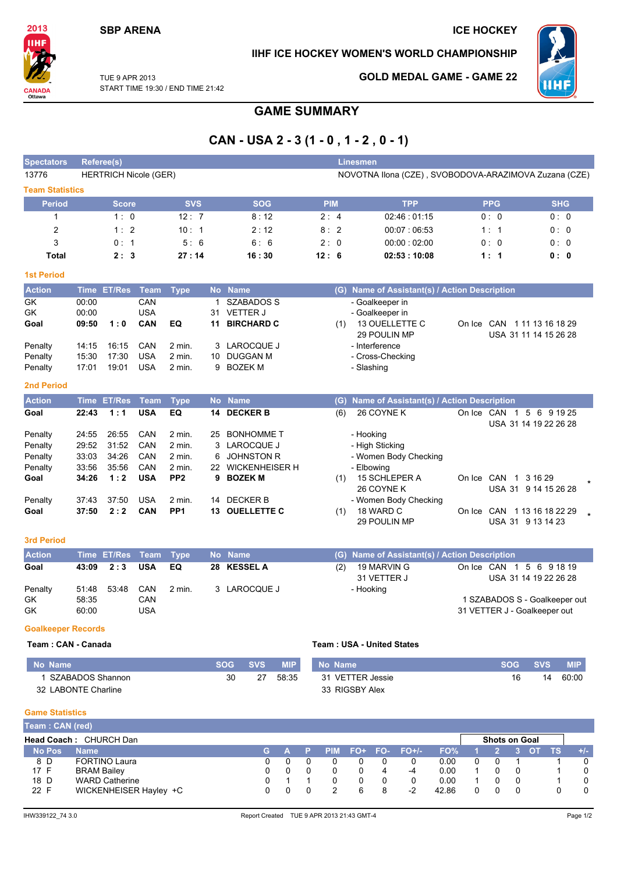# **SBP ARENA**

# **ICE HOCKEY**

### IIHF ICE HOCKEY WOMEN'S WORLD CHAMPIONSHIP



TUE 9 APR 2013 START TIME 19:30 / END TIME 21:42

## **GOLD MEDAL GAME - GAME 22**



**GAME SUMMARY** 

# CAN - USA 2 - 3 (1 - 0, 1 - 2, 0 - 1)

| <b>Spectators</b>      | Referee(s) |                              |             |                 |           |                   |            |     | <b>Linesmen</b>                                       |                                                  |                       |  |
|------------------------|------------|------------------------------|-------------|-----------------|-----------|-------------------|------------|-----|-------------------------------------------------------|--------------------------------------------------|-----------------------|--|
| 13776                  |            | <b>HERTRICH Nicole (GER)</b> |             |                 |           |                   |            |     | NOVOTNA Ilona (CZE), SVOBODOVA-ARAZIMOVA Zuzana (CZE) |                                                  |                       |  |
| <b>Team Statistics</b> |            |                              |             |                 |           |                   |            |     |                                                       |                                                  |                       |  |
| <b>Period</b>          |            | <b>Score</b>                 |             | <b>SVS</b>      |           | <b>SOG</b>        | <b>PIM</b> |     | <b>TPP</b>                                            | <b>PPG</b>                                       | <b>SHG</b>            |  |
| $\mathbf{1}$           |            | 1:0                          |             | 12:7            |           | 8:12              | 2:4        |     | 02:46:01:15                                           | 0:0                                              | 0:0                   |  |
| $\overline{2}$         |            | 1:2                          |             | 10:1            |           | 2:12              | 8:2        |     | 00:07:06:53                                           | 1:1                                              | 0:0                   |  |
| 3                      |            | 0:1                          |             | 5:6             |           | 6:6               | 2:0        |     | 00:00:02:00                                           | 0:0                                              | 0:0                   |  |
| <b>Total</b>           |            | 2:3                          |             | 27:14           |           | 16:30             | 12:6       |     | 02:53:10:08                                           | 1:1                                              | 0: 0                  |  |
| <b>1st Period</b>      |            |                              |             |                 |           |                   |            |     |                                                       |                                                  |                       |  |
| <b>Action</b>          |            | Time ET/Res                  | <b>Team</b> | <b>Type</b>     |           | No Name           |            |     | (G) Name of Assistant(s) / Action Description         |                                                  |                       |  |
| GK                     | 00:00      |                              | CAN         |                 |           | 1 SZABADOS S      |            |     | - Goalkeeper in                                       |                                                  |                       |  |
| GK                     | 00:00      |                              | <b>USA</b>  |                 | 31        | <b>VETTER J</b>   |            |     | - Goalkeeper in                                       |                                                  |                       |  |
| Goal                   | 09:50      | 1:0                          | CAN         | EQ              | 11        | <b>BIRCHARD C</b> |            | (1) | 13 OUELLETTE C<br>29 POULIN MP                        | On Ice CAN 1 11 13 16 18 29                      | USA 31 11 14 15 26 28 |  |
| Penalty                | 14:15      | 16:15                        | CAN         | $2$ min.        | 3         | <b>LAROCQUE J</b> |            |     | - Interference                                        |                                                  |                       |  |
| Penalty                | 15:30      | 17:30                        | <b>USA</b>  | 2 min.          | 10        | <b>DUGGAN M</b>   |            |     | - Cross-Checking                                      |                                                  |                       |  |
| Penalty                | 17:01      | 19:01                        | <b>USA</b>  | $2$ min.        | 9         | <b>BOZEK M</b>    |            |     | - Slashing                                            |                                                  |                       |  |
| <b>2nd Period</b>      |            |                              |             |                 |           |                   |            |     |                                                       |                                                  |                       |  |
| <b>Action</b>          |            | Time ET/Res                  | <b>Team</b> | <b>Type</b>     |           | No Name           |            |     | (G) Name of Assistant(s) / Action Description         |                                                  |                       |  |
|                        |            |                              |             |                 |           |                   |            |     |                                                       |                                                  |                       |  |
| Goal                   | 22:43      | 1:1                          | <b>USA</b>  | EQ              |           | 14 DECKER B       |            | (6) | 26 COYNE K                                            | On Ice CAN 1 5 6 9 19 25                         | USA 31 14 19 22 26 28 |  |
| Penalty                | 24:55      | 26:55                        | CAN         | $2$ min.        | 25        | <b>BONHOMME T</b> |            |     | - Hooking                                             |                                                  |                       |  |
| Penalty                | 29:52      | 31:52                        | CAN         | $2$ min.        |           | 3 LAROCQUE J      |            |     | - High Sticking                                       |                                                  |                       |  |
| Penalty                | 33:03      | 34:26                        | CAN         | $2$ min.        | 6         | <b>JOHNSTON R</b> |            |     | - Women Body Checking                                 |                                                  |                       |  |
| Penalty                | 33:56      | 35:56                        | CAN         | 2 min.          |           | 22 WICKENHEISER H |            |     | - Elbowing                                            |                                                  |                       |  |
| Goal                   | 34:26      | 1:2                          | <b>USA</b>  | PP <sub>2</sub> | 9         | <b>BOZEK M</b>    |            | (1) | 15 SCHLEPER A<br>26 COYNE K                           | On Ice CAN 1 3 16 29                             | USA 31 9 14 15 26 28  |  |
| Penalty                | 37:43      | 37:50                        | <b>USA</b>  | $2$ min.        |           | 14 DECKER B       |            |     | - Women Body Checking                                 |                                                  |                       |  |
| Goal                   | 37:50      | 2:2                          | CAN         | PP <sub>1</sub> |           | 13 OUELLETTE C    |            | (1) | 18 WARD C<br>29 POULIN MP                             | On Ice CAN 1 13 16 18 22 29<br>USA 31 9 13 14 23 |                       |  |
| <b>3rd Period</b>      |            |                              |             |                 |           |                   |            |     |                                                       |                                                  |                       |  |
| <b>Action</b>          |            | Time ET/Res                  | <b>Team</b> | <b>Type</b>     | <b>No</b> | <b>Name</b>       |            |     | (G) Name of Assistant(s) / Action Description         |                                                  |                       |  |
| Goal                   | 43:09      | 2:3                          | <b>USA</b>  | EQ              |           | 28 KESSEL A       |            | (2) | 19 MARVIN G<br>31 VETTER J                            | On Ice CAN 1 5 6 9 18 19                         | USA 31 14 19 22 26 28 |  |
| Penalty                | 51:48      | 53:48                        | CAN         | $2$ min.        |           | 3 LAROCQUE J      |            |     | - Hooking                                             |                                                  |                       |  |

#### **Goalkeeper Records**

### Team: CAN - Canada

#### Team: USA - United States

| No Name                  | SOG. | SVS | <b>MIP</b> | No Name          | <b>SOG</b> | <b>SVS</b> | <b>MIP</b> |
|--------------------------|------|-----|------------|------------------|------------|------------|------------|
| SZABADOS Shannon         | 30   |     | 58:35      | 31 VETTER Jessie |            | 14         | 60:00      |
| LABONTE Charline<br>32 I |      |     |            | 33 RIGSBY Alex   |            |            |            |

#### **Game Statistics** ń

| I eam:CAN (red) |                               |  |  |  |                   |       |                      |  |     |       |
|-----------------|-------------------------------|--|--|--|-------------------|-------|----------------------|--|-----|-------|
|                 | <b>Head Coach: CHURCH Dan</b> |  |  |  |                   |       | <b>Shots on Goal</b> |  |     |       |
| <b>No Pos</b>   | <b>Name</b>                   |  |  |  | PIM FO+ FO- FO+/- | FO%   |                      |  | TS. | $+/-$ |
| 8 D             | <b>FORTINO Laura</b>          |  |  |  |                   | 0.00  |                      |  |     |       |
| 17 F            | <b>BRAM Bailey</b>            |  |  |  | -4                | 0.00  |                      |  |     |       |
| 18 D            | <b>WARD Catherine</b>         |  |  |  |                   | 0.00  |                      |  |     |       |
| 22 F            | WICKENHEISER Hayley +C        |  |  |  | -2                | 42.86 |                      |  |     |       |